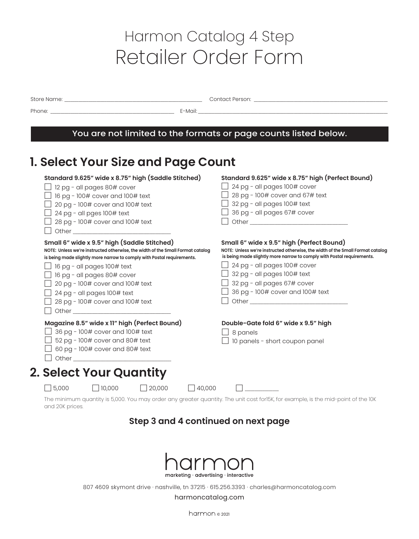# Harmon Catalog 4 Step Retailer Order Form

Store Name: \_\_\_\_\_\_\_\_\_\_\_\_\_\_\_\_\_\_\_\_\_\_\_\_\_\_\_\_\_\_\_\_\_\_\_\_\_\_\_\_\_\_\_\_\_\_\_\_\_\_\_\_\_\_\_\_\_\_\_\_\_\_\_\_\_\_\_\_\_ Contact Person: \_\_\_\_\_\_\_\_\_\_\_\_\_\_\_\_\_\_\_\_\_\_\_\_\_\_\_\_\_\_\_\_\_\_\_\_\_\_\_\_\_\_\_\_\_\_\_\_\_\_\_\_\_\_\_\_\_\_\_\_\_\_\_\_\_\_\_

Phone: \_\_\_\_\_\_\_\_\_\_\_\_\_\_\_\_\_\_\_\_\_\_\_\_\_\_\_\_\_\_\_\_\_\_\_\_\_\_\_\_\_\_\_\_\_\_\_\_\_\_\_\_\_\_\_\_\_\_\_\_\_\_ E-Mail: \_\_\_\_\_\_\_\_\_\_\_\_\_\_\_\_\_\_\_\_\_\_\_\_\_\_\_\_\_\_\_\_\_\_\_\_\_\_\_\_\_\_\_\_\_\_\_\_\_\_\_\_\_\_\_\_\_\_\_\_\_\_\_\_\_\_\_\_\_\_\_\_\_\_\_\_\_\_\_\_\_\_\_\_\_\_\_\_\_\_\_\_\_\_\_

### You are not limited to the formats or page counts listed below.

## **1. Select Your Size and Page Count**

| Standard 9.625" wide x 8.75" high (Saddle Stitched)                                                                                                  | Standard 9.625" wide x 8.75" high (Perfect Bound)                                                                                                                                                                              |
|------------------------------------------------------------------------------------------------------------------------------------------------------|--------------------------------------------------------------------------------------------------------------------------------------------------------------------------------------------------------------------------------|
| 12 pg - all pages 80# cover                                                                                                                          | 24 pg - all pages 100# cover                                                                                                                                                                                                   |
| 16 pg - 100# cover and 100# text                                                                                                                     | 28 pg - 100# cover and 67# text                                                                                                                                                                                                |
| 20 pg - 100# cover and 100# text                                                                                                                     | 32 pg - all pages 100# text                                                                                                                                                                                                    |
| 24 pg - all pges 100# text                                                                                                                           | 36 pg - all pages 67# cover                                                                                                                                                                                                    |
| 28 pg - 100# cover and 100# text                                                                                                                     | Other contracts and contracts are all the contracts of the contracts of the contracts of the contracts of the contracts of the contracts of the contracts of the contracts of the contracts of the contracts of the contracts  |
|                                                                                                                                                      |                                                                                                                                                                                                                                |
| Small 6" wide x 9.5" high (Saddle Stitched)                                                                                                          | Small 6" wide x 9.5" high (Perfect Bound)                                                                                                                                                                                      |
| NOTE: Unless we're instructed otherwise, the width of the Small Format catalog                                                                       | NOTE: Unless we're instructed otherwise, the width of the Small Format catalog                                                                                                                                                 |
| is being made slightly more narrow to comply with Postal requirements.                                                                               | is being made slightly more narrow to comply with Postal requirements.                                                                                                                                                         |
| 16 pg - all pages 100# text                                                                                                                          | 24 pg - all pages 100# cover                                                                                                                                                                                                   |
| 16 pg - all pages 80# cover                                                                                                                          | 32 pg - all pages 100# text                                                                                                                                                                                                    |
| 20 pg - 100# cover and 100# text                                                                                                                     | $\Box$ 32 pg - all pages 67# cover                                                                                                                                                                                             |
| 24 pg - all pages 100# text                                                                                                                          | 36 pg - 100# cover and 100# text                                                                                                                                                                                               |
| 28 pg - 100# cover and 100# text                                                                                                                     | Other contracts and the contracts of the contracts of the contracts of the contracts of the contracts of the contracts of the contracts of the contracts of the contracts of the contracts of the contracts of the contracts o |
| Other than the contract of the contract of the contract of the contract of the contract of the contract of the                                       |                                                                                                                                                                                                                                |
| Magazine 8.5" wide x 11" high (Perfect Bound)                                                                                                        | Double-Gate fold 6" wide x 9.5" high                                                                                                                                                                                           |
| 36 pg - 100# cover and 100# text                                                                                                                     | $\perp$ 8 panels                                                                                                                                                                                                               |
| 52 pg - 100# cover and 80# text                                                                                                                      | $\Box$ 10 panels - short coupon panel                                                                                                                                                                                          |
| 60 pg - 100# cover and 80# text                                                                                                                      |                                                                                                                                                                                                                                |
| Other than the contract of the contract of the contract of the contract of the contract of the contract of the                                       |                                                                                                                                                                                                                                |
|                                                                                                                                                      |                                                                                                                                                                                                                                |
| 2. Select Your Quantity                                                                                                                              |                                                                                                                                                                                                                                |
| $\Box$ 5,000<br>$\Box$ 40,000<br>$\Box$ 10,000<br>$\Box$ 20,000                                                                                      |                                                                                                                                                                                                                                |
| The minimum quantity is 5,000. You may order any greater quantity. The unit cost for15K, for example, is the mid-point of the 10K<br>and 20K prices. |                                                                                                                                                                                                                                |

### **Step 3 and 4 continued on next page**



807 4609 skymont drive · nashville, tn 37215 · 615.256.3393 · charles@harmoncatalog.com

#### harmoncatalog.com

harmon 02021